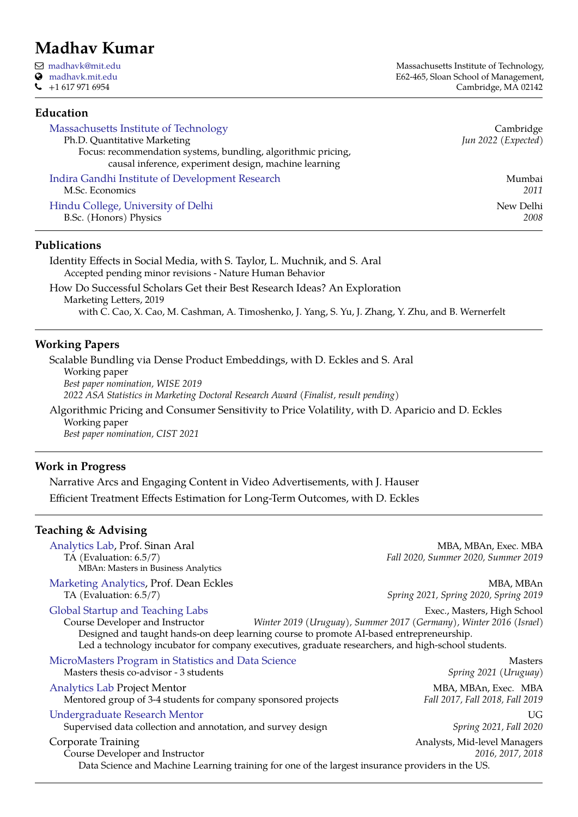# **Madhav Kumar**

Q [madhavk@mit.edu](mailto:madhavk@mit.edu) [madhavk.mit.edu](https://madhavk.mit.edu/)  $\bigcup$  +1 617 971 6954

Massachusetts Institute of Technology, E62-465, Sloan School of Management, Cambridge, MA 02142

# **Education**

| Massachusetts Institute of Technology<br>Ph.D. Quantitative Marketing<br>Focus: recommendation systems, bundling, algorithmic pricing,<br>causal inference, experiment design, machine learning | Cambridge<br>Jun 2022 (Expected) |
|-------------------------------------------------------------------------------------------------------------------------------------------------------------------------------------------------|----------------------------------|
| Indira Gandhi Institute of Development Research                                                                                                                                                 | Mumbai                           |
| M.Sc. Economics                                                                                                                                                                                 | 2011                             |
| Hindu College, University of Delhi                                                                                                                                                              | New Delhi                        |
| B.Sc. (Honors) Physics                                                                                                                                                                          | 2008                             |

### **Publications**

Identity Effects in Social Media, with S. Taylor, L. Muchnik, and S. Aral Accepted pending minor revisions - Nature Human Behavior

How Do Successful Scholars Get their Best Research Ideas? An Exploration Marketing Letters, 2019 with C. Cao, X. Cao, M. Cashman, A. Timoshenko, J. Yang, S. Yu, J. Zhang, Y. Zhu, and B. Wernerfelt

## **Working Papers**

Scalable Bundling via Dense Product Embeddings, with D. Eckles and S. Aral Working paper *Best paper nomination, WISE 2019 2022 ASA Statistics in Marketing Doctoral Research Award (Finalist, result pending)* Algorithmic Pricing and Consumer Sensitivity to Price Volatility, with D. Aparicio and D. Eckles

Working paper *Best paper nomination, CIST 2021*

## **Work in Progress**

Narrative Arcs and Engaging Content in Video Advertisements, with J. Hauser Efficient Treatment Effects Estimation for Long-Term Outcomes, with D. Eckles

## **Teaching & Advising**

| MBA, MBAn, Exec. MBA<br>Fall 2020, Summer 2020, Summer 2019                                                                                                                                                                                                                                        |
|----------------------------------------------------------------------------------------------------------------------------------------------------------------------------------------------------------------------------------------------------------------------------------------------------|
| MBA, MBAn<br>Spring 2021, Spring 2020, Spring 2019                                                                                                                                                                                                                                                 |
| Exec., Masters, High School<br>Winter 2019 (Uruguay), Summer 2017 (Germany), Winter 2016 (Israel)<br>Designed and taught hands-on deep learning course to promote AI-based entrepreneurship.<br>Led a technology incubator for company executives, graduate researchers, and high-school students. |
| MicroMasters Program in Statistics and Data Science<br>Masters<br>Spring 2021 (Uruguay)                                                                                                                                                                                                            |
| MBA, MBAn, Exec. MBA<br>Mentored group of 3-4 students for company sponsored projects<br>Fall 2017, Fall 2018, Fall 2019                                                                                                                                                                           |
| UG<br>Spring 2021, Fall 2020<br>Supervised data collection and annotation, and survey design                                                                                                                                                                                                       |
| Analysts, Mid-level Managers<br>2016, 2017, 2018<br>Data Science and Machine Learning training for one of the largest insurance providers in the US.                                                                                                                                               |
|                                                                                                                                                                                                                                                                                                    |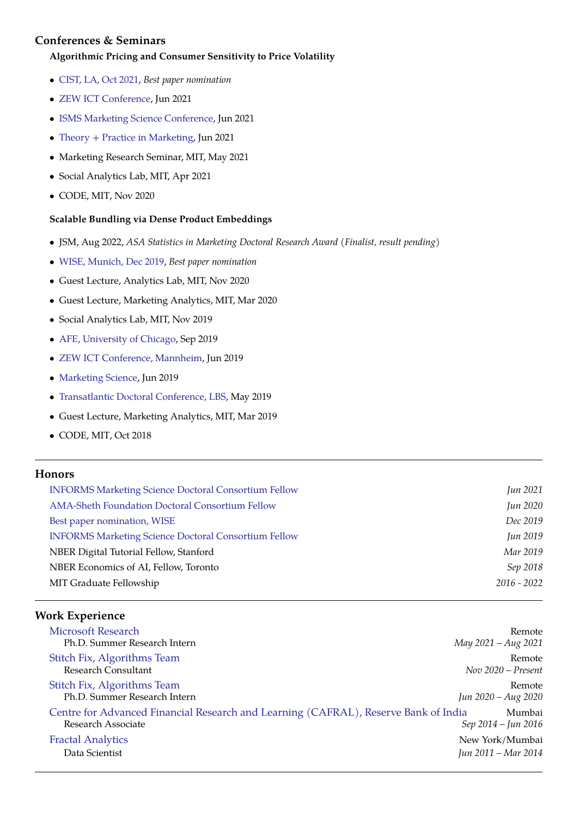# **Conferences & Seminars**

#### **Algorithmic Pricing and Consumer Sensitivity to Price Volatility**

- [CIST, LA, Oct 2021,](https://sites.google.com/view/cist2021/) *Best paper nomination*
- [ZEW ICT Conference,](https://www.zew.de/en/events-and-professional-training/detail/19th-zew-conference-on-the-economics-of-information-and-communication-technologies/3253) Jun 2021
- [ISMS Marketing Science Conference,](https://simon.rochester.edu/simon-events/ISMSconference2021) Jun 2021
- [Theory + Practice in Marketing,](http://theorypractice.org/) Jun 2021
- Marketing Research Seminar, MIT, May 2021
- Social Analytics Lab, MIT, Apr 2021
- CODE, MIT, Nov 2020

### **Scalable Bundling via Dense Product Embeddings**

- JSM, Aug 2022, *ASA Statistics in Marketing Doctoral Research Award (Finalist, result pending)*
- [WISE, Munich, Dec 2019,](http://wiseconf.org/) *Best paper nomination*
- Guest Lecture, Analytics Lab, MIT, Nov 2020
- Guest Lecture, Marketing Analytics, MIT, Mar 2020
- Social Analytics Lab, MIT, Nov 2019
- [AFE, University of Chicago,](https://economics.uchicago.edu/content/advances-field-experiments-2019) Sep 2019
- [ZEW ICT Conference, Mannheim,](https://www.zew.de/en/events-and-professional-training/detail/19th-zew-conference-on-the-economics-of-information-and-communication-technologies/3253) Jun 2019
- [Marketing Science,](http://www.stern.nyu.edu/experience-stern/about/departments-centers-initiatives/academic-departments/marketing/events/2019-isms-marketing-science-conference) Jun 2019
- [Transatlantic Doctoral Conference, LBS,](http://www.tadc-lbs.com/) May 2019
- Guest Lecture, Marketing Analytics, MIT, Mar 2019
- CODE, MIT, Oct 2018

## **Honors**

| <b>INFORMS Marketing Science Doctoral Consortium Fellow</b> | Jun 2021      |
|-------------------------------------------------------------|---------------|
| <b>AMA-Sheth Foundation Doctoral Consortium Fellow</b>      | Jun 2020      |
| Best paper nomination, WISE                                 | Dec 2019      |
| <b>INFORMS Marketing Science Doctoral Consortium Fellow</b> | Jun 2019      |
| NBER Digital Tutorial Fellow, Stanford                      | Mar 2019      |
| NBER Economics of AI, Fellow, Toronto                       | Sep 2018      |
| MIT Graduate Fellowship                                     | $2016 - 2022$ |
|                                                             |               |

# **Work Experience**

| <b>Microsoft Research</b><br>Ph.D. Summer Research Intern                                                 | May 2021 – Aug 2021  | Remote |
|-----------------------------------------------------------------------------------------------------------|----------------------|--------|
| Stitch Fix, Algorithms Team<br>Research Consultant                                                        | $Nov 2020 - Present$ | Remote |
| Stitch Fix, Algorithms Team<br>Ph.D. Summer Research Intern                                               | Jun 2020 - Aug 2020  | Remote |
| Centre for Advanced Financial Research and Learning (CAFRAL), Reserve Bank of India<br>Research Associate | Sep 2014 – Jun 2016  | Mumbai |
| <b>Fractal Analytics</b>                                                                                  | New York/Mumbai      |        |
| Data Scientist                                                                                            | Jun 2011 – Mar 2014  |        |
|                                                                                                           |                      |        |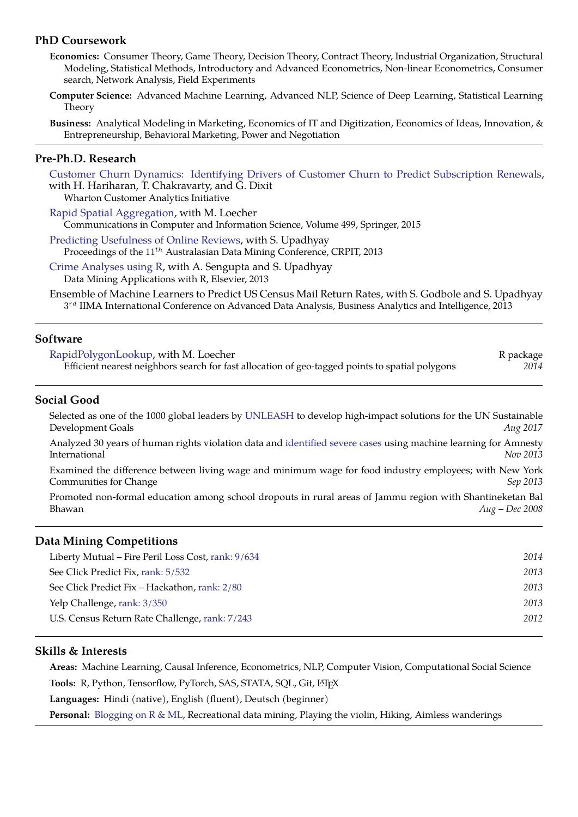## **PhD Coursework**

- **Economics:** Consumer Theory, Game Theory, Decision Theory, Contract Theory, Industrial Organization, Structural Modeling, Statistical Methods, Introductory and Advanced Econometrics, Non-linear Econometrics, Consumer search, Network Analysis, Field Experiments
- **Computer Science:** Advanced Machine Learning, Advanced NLP, Science of Deep Learning, Statistical Learning Theory

**Business:** Analytical Modeling in Marketing, Economics of IT and Digitization, Economics of Ideas, Innovation, & Entrepreneurship, Behavioral Marketing, Power and Negotiation

### **Pre-Ph.D. Research**

[Customer Churn Dynamics: Identifying Drivers of Customer Churn to Predict Subscription Renewals,](http://wcai.wharton.upenn.edu/research/desktop-software-subscription-analysis/) with H. Hariharan, T. Chakravarty, and G. Dixit

Wharton Customer Analytics Initiative

[Rapid Spatial Aggregation,](http://www.springer.com/in/book/9783319203515) with M. Loecher Communications in Computer and Information Science, Volume 499, Springer, 2015

[Predicting Usefulness of Online Reviews,](http://crpit.com/) with S. Upadhyay Proceedings of the 11<sup>th</sup> Australasian Data Mining Conference, CRPIT, 2013

[Crime Analyses using R,](http://www.elsevier.com/books/data-mining-applications-with-r/zhao/978-0-12-411511-8) with A. Sengupta and S. Upadhyay Data Mining Applications with R, Elsevier, 2013

Ensemble of Machine Learners to Predict US Census Mail Return Rates, with S. Godbole and S. Upadhyay  $3^{rd}$  IIMA International Conference on Advanced Data Analysis, Business Analytics and Intelligence, 20 $\bar{1}3$ 

## **Software**

| RapidPolygonLookup, with M. Loecher                                                             | R package |
|-------------------------------------------------------------------------------------------------|-----------|
| Efficient nearest neighbors search for fast allocation of geo-tagged points to spatial polygons | 2014      |

### **Social Good**

Selected as one of the 1000 global leaders by [UNLEASH](https://unleash.org/) to develop high-impact solutions for the UN Sustainable Development Goals *Aug 2017*

Analyzed 30 years of human rights violation data and [identified severe cases](http://www.washingtonpost.com/business/on-it/amnesty-international-considers-using-big-data-to-predict-human-rights-violations/2013/11/22/3f4f1a1e-5388-11e3-a7f0-b790929232e1_story.html) using machine learning for Amnesty International *Nov 2013*

Examined the difference between living wage and minimum wage for food industry employees; with New York Communities for Change *Sep 2013*

Promoted non-formal education among school dropouts in rural areas of Jammu region with Shantineketan Bal Bhawan *Aug – Dec 2008*

### **Data Mining Competitions**

| Liberty Mutual – Fire Peril Loss Cost, rank: 9/634 | 2014 |
|----------------------------------------------------|------|
| See Click Predict Fix, rank: 5/532                 | 2013 |
| See Click Predict Fix – Hackathon, rank: 2/80      | 2013 |
| Yelp Challenge, rank: 3/350                        | 2013 |
| U.S. Census Return Rate Challenge, rank: 7/243     | 2012 |
|                                                    |      |

### **Skills & Interests**

**Areas:** Machine Learning, Causal Inference, Econometrics, NLP, Computer Vision, Computational Social Science Tools: R, Python, Tensorflow, PyTorch, SAS, STATA, SQL, Git, L<sup>AT</sup>FX

**Languages:** Hindi (native), English (fluent), Deutsch (beginner)

**Personal:** [Blogging on R & ML,](http://programming-r-pro-bro.blogspot.in/) Recreational data mining, Playing the violin, Hiking, Aimless wanderings